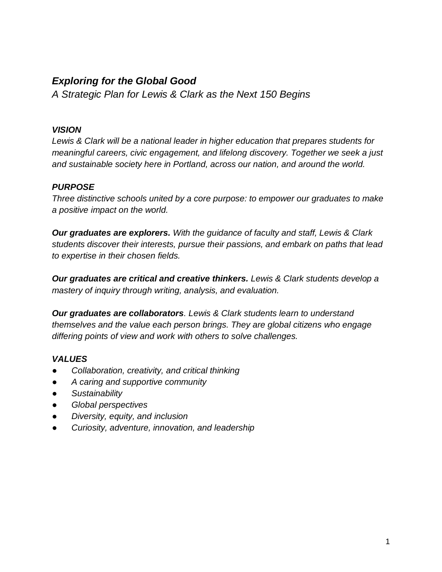# *Exploring for the Global Good*

*A Strategic Plan for Lewis & Clark as the Next 150 Begins*

#### *VISION*

*Lewis & Clark will be a national leader in higher education that prepares students for meaningful careers, civic engagement, and lifelong discovery. Together we seek a just and sustainable society here in Portland, across our nation, and around the world.*

### *PURPOSE*

*Three distinctive schools united by a core purpose: to empower our graduates to make a positive impact on the world.*

*Our graduates are explorers. With the guidance of faculty and staff, Lewis & Clark students discover their interests, pursue their passions, and embark on paths that lead to expertise in their chosen fields.*

*Our graduates are critical and creative thinkers. Lewis & Clark students develop a mastery of inquiry through writing, analysis, and evaluation.*

*Our graduates are collaborators. Lewis & Clark students learn to understand themselves and the value each person brings. They are global citizens who engage differing points of view and work with others to solve challenges.*

## *VALUES*

- *Collaboration, creativity, and critical thinking*
- *A caring and supportive community*
- *Sustainability*
- *Global perspectives*
- *Diversity, equity, and inclusion*
- *Curiosity, adventure, innovation, and leadership*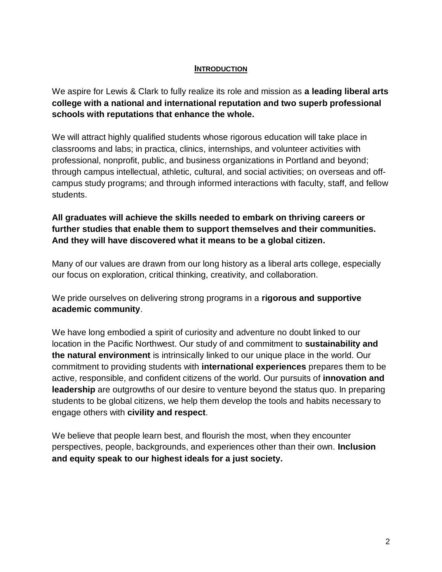#### **INTRODUCTION**

We aspire for Lewis & Clark to fully realize its role and mission as **a leading liberal arts college with a national and international reputation and two superb professional schools with reputations that enhance the whole.** 

We will attract highly qualified students whose rigorous education will take place in classrooms and labs; in practica, clinics, internships, and volunteer activities with professional, nonprofit, public, and business organizations in Portland and beyond; through campus intellectual, athletic, cultural, and social activities; on overseas and offcampus study programs; and through informed interactions with faculty, staff, and fellow students.

### **All graduates will achieve the skills needed to embark on thriving careers or further studies that enable them to support themselves and their communities. And they will have discovered what it means to be a global citizen.**

Many of our values are drawn from our long history as a liberal arts college, especially our focus on exploration, critical thinking, creativity, and collaboration.

We pride ourselves on delivering strong programs in a **rigorous and supportive academic community**.

We have long embodied a spirit of curiosity and adventure no doubt linked to our location in the Pacific Northwest. Our study of and commitment to **sustainability and the natural environment** is intrinsically linked to our unique place in the world. Our commitment to providing students with **international experiences** prepares them to be active, responsible, and confident citizens of the world. Our pursuits of **innovation and leadership** are outgrowths of our desire to venture beyond the status quo. In preparing students to be global citizens, we help them develop the tools and habits necessary to engage others with **civility and respect**.

We believe that people learn best, and flourish the most, when they encounter perspectives, people, backgrounds, and experiences other than their own. **Inclusion and equity speak to our highest ideals for a just society.**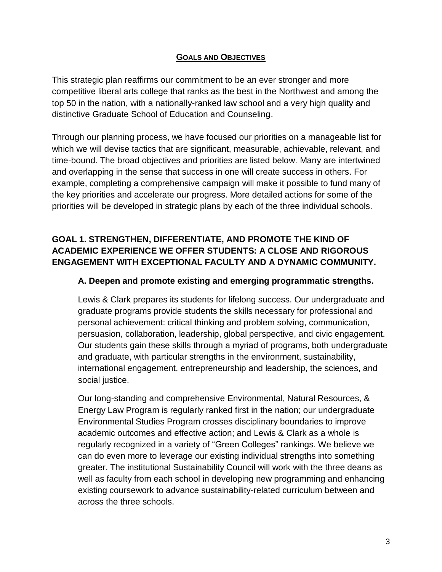#### **GOALS AND OBJECTIVES**

This strategic plan reaffirms our commitment to be an ever stronger and more competitive liberal arts college that ranks as the best in the Northwest and among the top 50 in the nation, with a nationally-ranked law school and a very high quality and distinctive Graduate School of Education and Counseling.

Through our planning process, we have focused our priorities on a manageable list for which we will devise tactics that are significant, measurable, achievable, relevant, and time-bound. The broad objectives and priorities are listed below. Many are intertwined and overlapping in the sense that success in one will create success in others. For example, completing a comprehensive campaign will make it possible to fund many of the key priorities and accelerate our progress. More detailed actions for some of the priorities will be developed in strategic plans by each of the three individual schools.

## **GOAL 1. STRENGTHEN, DIFFERENTIATE, AND PROMOTE THE KIND OF ACADEMIC EXPERIENCE WE OFFER STUDENTS: A CLOSE AND RIGOROUS ENGAGEMENT WITH EXCEPTIONAL FACULTY AND A DYNAMIC COMMUNITY.**

#### **A. Deepen and promote existing and emerging programmatic strengths.**

Lewis & Clark prepares its students for lifelong success. Our undergraduate and graduate programs provide students the skills necessary for professional and personal achievement: critical thinking and problem solving, communication, persuasion, collaboration, leadership, global perspective, and civic engagement. Our students gain these skills through a myriad of programs, both undergraduate and graduate, with particular strengths in the environment, sustainability, international engagement, entrepreneurship and leadership, the sciences, and social justice.

Our long-standing and comprehensive [Environmental, Natural Resources, &](https://law.lclark.edu/programs/environmental_and_natural_resources_law/)  [Energy Law](https://law.lclark.edu/programs/environmental_and_natural_resources_law/) Program is regularly ranked first in the nation; our undergraduate Environmental Studies Program crosses disciplinary boundaries to improve academic outcomes and effective action; and Lewis & Clark as a whole is regularly recognized in a variety of "Green Colleges" rankings. We believe we can do even more to leverage our existing individual strengths into something greater. The institutional Sustainability Council will work with the three deans as well as faculty from each school in developing new programming and enhancing existing coursework to advance sustainability-related curriculum between and across the three schools.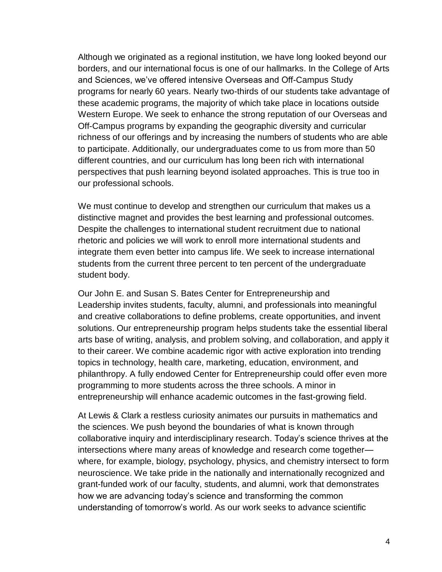Although we originated as a regional institution, we have long looked beyond our borders, and our international focus is one of our hallmarks. In the College of Arts and Sciences, we've offered intensive Overseas and Off-Campus Study programs for nearly 60 years. Nearly two-thirds of our students take advantage of these academic programs, the majority of which take place in locations outside Western Europe. We seek to enhance the strong reputation of our Overseas and Off-Campus programs by expanding the geographic diversity and curricular richness of our offerings and by increasing the numbers of students who are able to participate. Additionally, our undergraduates come to us from more than 50 different countries, and our curriculum has long been rich with international perspectives that push learning beyond isolated approaches. This is true too in our professional schools.

We must continue to develop and strengthen our curriculum that makes us a distinctive magnet and provides the best learning and professional outcomes. Despite the challenges to international student recruitment due to national rhetoric and policies we will work to enroll more international students and integrate them even better into campus life. We seek to increase international students from the current three percent to ten percent of the undergraduate student body.

Our [John E. and Susan S. Bates Center for Entrepreneurship and](http://college.lclark.edu/live/news/37664-endowment-gift-and-new-name-for-center-for)  [Leadership](http://college.lclark.edu/live/news/37664-endowment-gift-and-new-name-for-center-for) invites students, faculty, alumni, and professionals into meaningful and creative collaborations to define problems, create opportunities, and invent solutions. Our [entrepreneurship program](https://college.lclark.edu/programs/entrepreneurship/) helps students take the essential liberal arts base of writing, analysis, and problem solving, and collaboration, and apply it to their career. We combine academic rigor with active exploration into trending topics in technology, health care, marketing, education, environment, and philanthropy. A fully endowed Center for Entrepreneurship could offer even more programming to more students across the three schools. A minor in entrepreneurship will enhance academic outcomes in the fast-growing field.

At Lewis & Clark a restless curiosity animates our pursuits in mathematics and the sciences. We push beyond the boundaries of what is known through collaborative inquiry and interdisciplinary research. Today's science thrives at the intersections where many areas of knowledge and research come together where, for example, biology, psychology, physics, and chemistry intersect to form neuroscience. We take pride in the nationally and internationally recognized and grant-funded work of our faculty, students, and alumni, work that demonstrates how we are advancing today's science and transforming the common understanding of tomorrow's world. As our work seeks to advance scientific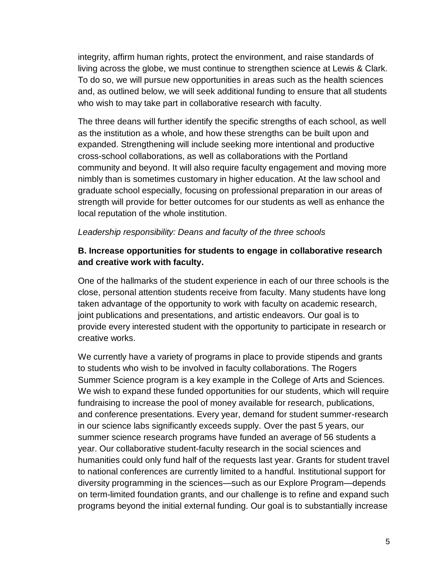integrity, affirm human rights, protect the environment, and raise standards of living across the globe, we must continue to strengthen science at Lewis & Clark. To do so, we will pursue new opportunities in areas such as the health sciences and, as outlined below, we will seek additional funding to ensure that all students who wish to may take part in collaborative research with faculty.

The three deans will further identify the specific strengths of each school, as well as the institution as a whole, and how these strengths can be built upon and expanded. Strengthening will include seeking more intentional and productive cross-school collaborations, as well as collaborations with the Portland community and beyond. It will also require faculty engagement and moving more nimbly than is sometimes customary in higher education. At the law school and graduate school especially, focusing on professional preparation in our areas of strength will provide for better outcomes for our students as well as enhance the local reputation of the whole institution.

#### *Leadership responsibility: Deans and faculty of the three schools*

### **B. Increase opportunities for students to engage in collaborative research and creative work with faculty.**

One of the hallmarks of the student experience in each of our three schools is the close, personal attention students receive from faculty. Many students have long taken advantage of the opportunity to work with faculty on academic research, joint publications and presentations, and artistic endeavors. Our goal is to provide every interested student with the opportunity to participate in research or creative works.

We currently have a variety of programs in place to provide stipends and grants to students who wish to be involved in faculty collaborations. The Rogers Summer Science program is a key example in the College of Arts and Sciences. We wish to expand these funded opportunities for our students, which will require fundraising to increase the pool of money available for research, publications, and conference presentations. Every year, demand for student summer-research in our science labs significantly exceeds supply. Over the past 5 years, our summer science research programs have funded an average of 56 students a year. Our collaborative student-faculty research in the social sciences and humanities could only fund half of the requests last year. Grants for student travel to national conferences are currently limited to a handful. Institutional support for diversity programming in the sciences—such as our Explore Program—depends on term-limited foundation grants, and our challenge is to refine and expand such programs beyond the initial external funding. Our goal is to substantially increase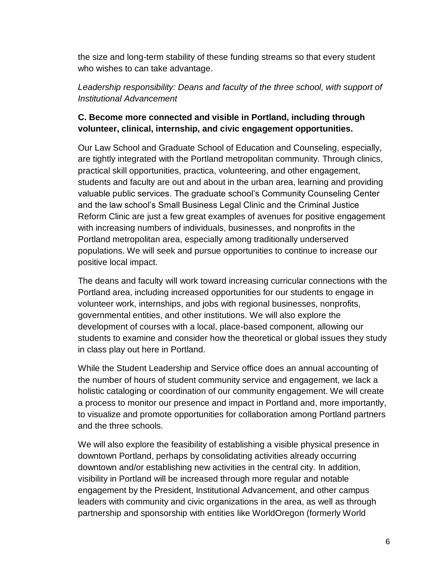the size and long-term stability of these funding streams so that every student who wishes to can take advantage.

*Leadership responsibility: Deans and faculty of the three school, with support of Institutional Advancement*

### **C. Become more connected and visible in Portland, including through volunteer, clinical, internship, and civic engagement opportunities.**

Our Law School and Graduate School of Education and Counseling, especially, are tightly integrated with the Portland metropolitan community. Through clinics, practical skill opportunities, practica, volunteering, and other engagement, students and faculty are out and about in the urban area, learning and providing valuable public services. The graduate school's Community Counseling Center and the law school's Small Business Legal Clinic and the Criminal Justice Reform Clinic are just a few great examples of avenues for positive engagement with increasing numbers of individuals, businesses, and nonprofits in the Portland metropolitan area, especially among traditionally underserved populations. We will seek and pursue opportunities to continue to increase our positive local impact.

The deans and faculty will work toward increasing curricular connections with the Portland area, including increased opportunities for our students to engage in volunteer work, internships, and jobs with regional businesses, nonprofits, governmental entities, and other institutions. We will also explore the development of courses with a local, place-based component, allowing our students to examine and consider how the theoretical or global issues they study in class play out here in Portland.

While the Student Leadership and Service office does an annual accounting of the number of hours of student community service and engagement, we lack a holistic cataloging or coordination of our community engagement. We will create a process to monitor our presence and impact in Portland and, more importantly, to visualize and promote opportunities for collaboration among Portland partners and the three schools.

We will also explore the feasibility of establishing a visible physical presence in downtown Portland, perhaps by consolidating activities already occurring downtown and/or establishing new activities in the central city. In addition, visibility in Portland will be increased through more regular and notable engagement by the President, Institutional Advancement, and other campus leaders with community and civic organizations in the area, as well as through partnership and sponsorship with entities like WorldOregon (formerly World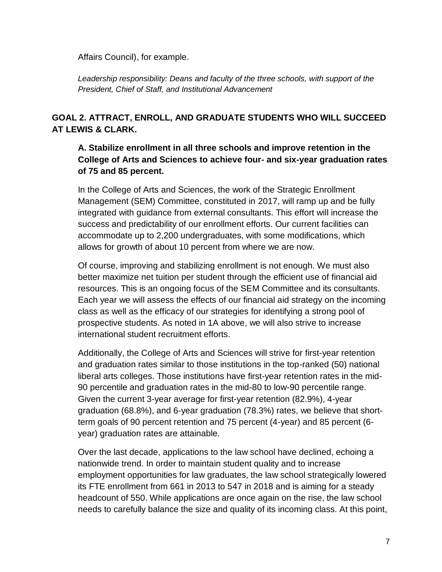Affairs Council), for example.

*Leadership responsibility: Deans and faculty of the three schools, with support of the President, Chief of Staff, and Institutional Advancement*

## **GOAL 2. ATTRACT, ENROLL, AND GRADUATE STUDENTS WHO WILL SUCCEED AT LEWIS & CLARK.**

**A. Stabilize enrollment in all three schools and improve retention in the College of Arts and Sciences to achieve four- and six-year graduation rates of 75 and 85 percent.**

In the College of Arts and Sciences, the work of the Strategic Enrollment Management (SEM) Committee, constituted in 2017, will ramp up and be fully integrated with guidance from external consultants. This effort will increase the success and predictability of our enrollment efforts. Our current facilities can accommodate up to 2,200 undergraduates, with some modifications, which allows for growth of about 10 percent from where we are now.

Of course, improving and stabilizing enrollment is not enough. We must also better maximize net tuition per student through the efficient use of financial aid resources. This is an ongoing focus of the SEM Committee and its consultants. Each year we will assess the effects of our financial aid strategy on the incoming class as well as the efficacy of our strategies for identifying a strong pool of prospective students. As noted in 1A above, we will also strive to increase international student recruitment efforts.

Additionally, the College of Arts and Sciences will strive for first-year retention and graduation rates similar to those institutions in the top-ranked (50) national liberal arts colleges. Those institutions have first-year retention rates in the mid-90 percentile and graduation rates in the mid-80 to low-90 percentile range. Given the current 3-year average for first-year retention (82.9%), 4-year graduation (68.8%), and 6-year graduation (78.3%) rates, we believe that shortterm goals of 90 percent retention and 75 percent (4-year) and 85 percent (6 year) graduation rates are attainable.

Over the last decade, applications to the law school have declined, echoing a nationwide trend. In order to maintain student quality and to increase employment opportunities for law graduates, the law school strategically lowered its FTE enrollment from 661 in 2013 to 547 in 2018 and is aiming for a steady headcount of 550. While applications are once again on the rise, the law school needs to carefully balance the size and quality of its incoming class. At this point,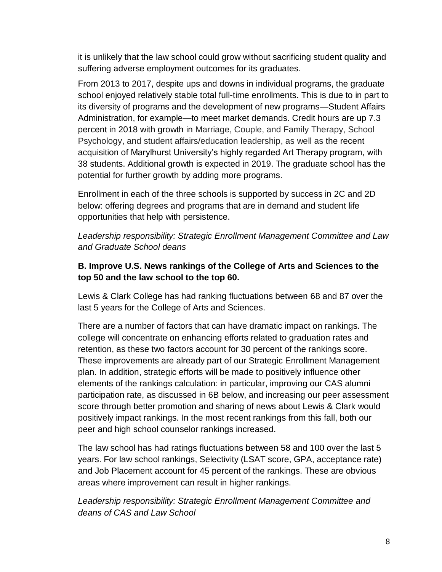it is unlikely that the law school could grow without sacrificing student quality and suffering adverse employment outcomes for its graduates.

From 2013 to 2017, despite ups and downs in individual programs, the graduate school enjoyed relatively stable total full-time enrollments. This is due to in part to its diversity of programs and the development of new programs—Student Affairs Administration, for example—to meet market demands. Credit hours are up 7.3 percent in 2018 with growth in Marriage, Couple, and Family Therapy, School Psychology, and student affairs/education leadership, as well as the recent acquisition of Marylhurst University's highly regarded Art Therapy program, with 38 students. Additional growth is expected in 2019. The graduate school has the potential for further growth by adding more programs.

Enrollment in each of the three schools is supported by success in 2C and 2D below: offering degrees and programs that are in demand and student life opportunities that help with persistence.

*Leadership responsibility: Strategic Enrollment Management Committee and Law and Graduate School deans*

### **B. Improve U.S. News rankings of the College of Arts and Sciences to the top 50 and the law school to the top 60.**

Lewis & Clark College has had ranking fluctuations between 68 and 87 over the last 5 years for the College of Arts and Sciences.

There are a number of factors that can have dramatic impact on rankings. The college will concentrate on enhancing efforts related to graduation rates and retention, as these two factors account for 30 percent of the rankings score. These improvements are already part of our Strategic Enrollment Management plan. In addition, strategic efforts will be made to positively influence other elements of the rankings calculation: in particular, improving our CAS alumni participation rate, as discussed in 6B below, and increasing our peer assessment score through better promotion and sharing of news about Lewis & Clark would positively impact rankings. In the most recent rankings from this fall, both our peer and high school counselor rankings increased.

The law school has had ratings fluctuations between 58 and 100 over the last 5 years. For law school rankings, Selectivity (LSAT score, GPA, acceptance rate) and Job Placement account for 45 percent of the rankings. These are obvious areas where improvement can result in higher rankings.

*Leadership responsibility: Strategic Enrollment Management Committee and deans of CAS and Law School*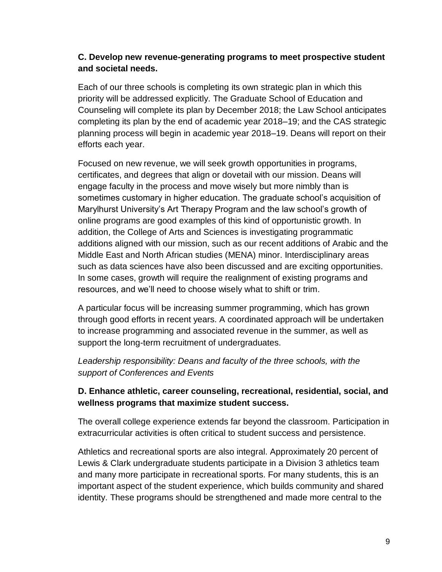### **C. Develop new revenue-generating programs to meet prospective student and societal needs.**

Each of our three schools is completing its own strategic plan in which this priority will be addressed explicitly. The Graduate School of Education and Counseling will complete its plan by December 2018; the Law School anticipates completing its plan by the end of academic year 2018–19; and the CAS strategic planning process will begin in academic year 2018–19. Deans will report on their efforts each year.

Focused on new revenue, we will seek growth opportunities in programs, certificates, and degrees that align or dovetail with our mission. Deans will engage faculty in the process and move wisely but more nimbly than is sometimes customary in higher education. The graduate school's acquisition of Marylhurst University's Art Therapy Program and the law school's growth of online programs are good examples of this kind of opportunistic growth. In addition, the College of Arts and Sciences is investigating programmatic additions aligned with our mission, such as our recent additions of Arabic and the Middle East and North African studies (MENA) minor. Interdisciplinary areas such as data sciences have also been discussed and are exciting opportunities. In some cases, growth will require the realignment of existing programs and resources, and we'll need to choose wisely what to shift or trim.

A particular focus will be increasing summer programming, which has grown through good efforts in recent years. A coordinated approach will be undertaken to increase programming and associated revenue in the summer, as well as support the long-term recruitment of undergraduates.

## *Leadership responsibility: Deans and faculty of the three schools, with the support of Conferences and Events*

### **D. Enhance athletic, career counseling, recreational, residential, social, and wellness programs that maximize student success.**

The overall college experience extends far beyond the classroom. Participation in extracurricular activities is often critical to student success and persistence.

Athletics and recreational sports are also integral. Approximately 20 percent of Lewis & Clark undergraduate students participate in a Division 3 athletics team and many more participate in recreational sports. For many students, this is an important aspect of the student experience, which builds community and shared identity. These programs should be strengthened and made more central to the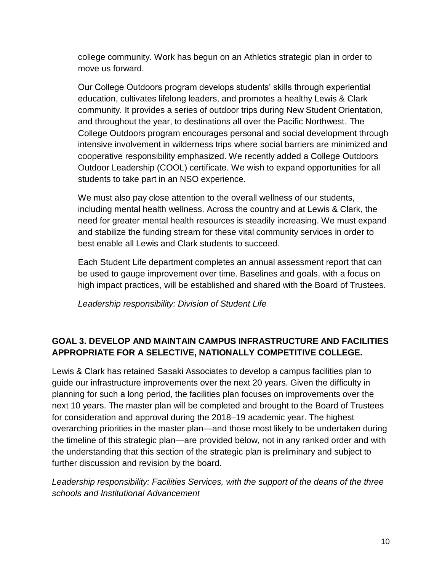college community. Work has begun on an Athletics strategic plan in order to move us forward.

Our College Outdoors program develops students' skills through experiential education, cultivates lifelong leaders, and promotes a healthy Lewis & Clark community. It provides a series of outdoor trips during New Student Orientation, and throughout the year, to destinations all over the Pacific Northwest. The College Outdoors program encourages personal and social development through intensive involvement in wilderness trips where social barriers are minimized and cooperative responsibility emphasized. We recently added a College Outdoors Outdoor Leadership (COOL) certificate. We wish to expand opportunities for all students to take part in an NSO experience.

We must also pay close attention to the overall wellness of our students, including mental health wellness. Across the country and at Lewis & Clark, the need for greater mental health resources is steadily increasing. We must expand and stabilize the funding stream for these vital community services in order to best enable all Lewis and Clark students to succeed.

Each Student Life department completes an annual assessment report that can be used to gauge improvement over time. Baselines and goals, with a focus on high impact practices, will be established and shared with the Board of Trustees.

*Leadership responsibility: Division of Student Life*

## **GOAL 3. DEVELOP AND MAINTAIN CAMPUS INFRASTRUCTURE AND FACILITIES APPROPRIATE FOR A SELECTIVE, NATIONALLY COMPETITIVE COLLEGE.**

Lewis & Clark has retained Sasaki Associates to develop a campus facilities plan to guide our infrastructure improvements over the next 20 years. Given the difficulty in planning for such a long period, the facilities plan focuses on improvements over the next 10 years. The master plan will be completed and brought to the Board of Trustees for consideration and approval during the 2018–19 academic year. The highest overarching priorities in the master plan—and those most likely to be undertaken during the timeline of this strategic plan—are provided below, not in any ranked order and with the understanding that this section of the strategic plan is preliminary and subject to further discussion and revision by the board.

*Leadership responsibility: Facilities Services, with the support of the deans of the three schools and Institutional Advancement*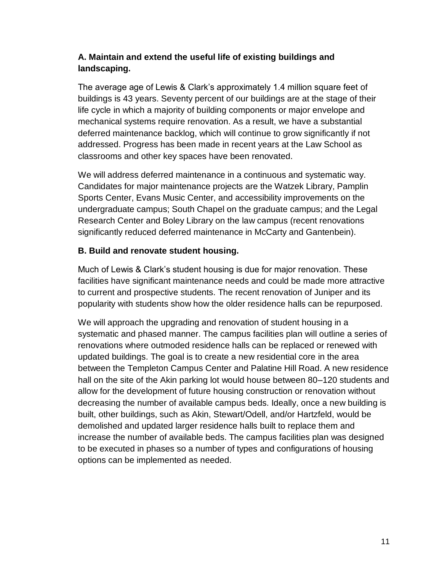### **A. Maintain and extend the useful life of existing buildings and landscaping.**

The average age of Lewis & Clark's approximately 1.4 million square feet of buildings is 43 years. Seventy percent of our buildings are at the stage of their life cycle in which a majority of building components or major envelope and mechanical systems require renovation. As a result, we have a substantial deferred maintenance backlog, which will continue to grow significantly if not addressed. Progress has been made in recent years at the Law School as classrooms and other key spaces have been renovated.

We will address deferred maintenance in a continuous and systematic way. Candidates for major maintenance projects are the Watzek Library, Pamplin Sports Center, Evans Music Center, and accessibility improvements on the undergraduate campus; South Chapel on the graduate campus; and the Legal Research Center and Boley Library on the law campus (recent renovations significantly reduced deferred maintenance in McCarty and Gantenbein).

#### **B. Build and renovate student housing.**

Much of Lewis & Clark's student housing is due for major renovation. These facilities have significant maintenance needs and could be made more attractive to current and prospective students. The recent renovation of Juniper and its popularity with students show how the older residence halls can be repurposed.

We will approach the upgrading and renovation of student housing in a systematic and phased manner. The campus facilities plan will outline a series of renovations where outmoded residence halls can be replaced or renewed with updated buildings. The goal is to create a new residential core in the area between the Templeton Campus Center and Palatine Hill Road. A new residence hall on the site of the Akin parking lot would house between 80–120 students and allow for the development of future housing construction or renovation without decreasing the number of available campus beds. Ideally, once a new building is built, other buildings, such as Akin, Stewart/Odell, and/or Hartzfeld, would be demolished and updated larger residence halls built to replace them and increase the number of available beds. The campus facilities plan was designed to be executed in phases so a number of types and configurations of housing options can be implemented as needed.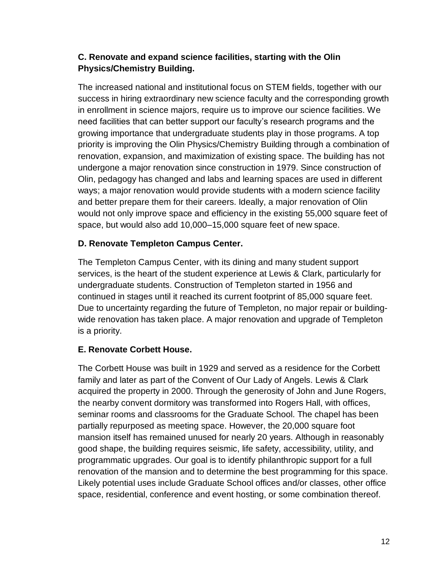### **C. Renovate and expand science facilities, starting with the Olin Physics/Chemistry Building.**

The increased national and institutional focus on STEM fields, together with our success in hiring extraordinary new science faculty and the corresponding growth in enrollment in science majors, require us to improve our science facilities. We need facilities that can better support our faculty's research programs and the growing importance that undergraduate students play in those programs. A top priority is improving the Olin Physics/Chemistry Building through a combination of renovation, expansion, and maximization of existing space. The building has not undergone a major renovation since construction in 1979. Since construction of Olin, pedagogy has changed and labs and learning spaces are used in different ways; a major renovation would provide students with a modern science facility and better prepare them for their careers. Ideally, a major renovation of Olin would not only improve space and efficiency in the existing 55,000 square feet of space, but would also add 10,000–15,000 square feet of new space.

## **D. Renovate Templeton Campus Center.**

The Templeton Campus Center, with its dining and many student support services, is the heart of the student experience at Lewis & Clark, particularly for undergraduate students. Construction of Templeton started in 1956 and continued in stages until it reached its current footprint of 85,000 square feet. Due to uncertainty regarding the future of Templeton, no major repair or buildingwide renovation has taken place. A major renovation and upgrade of Templeton is a priority.

# **E. Renovate Corbett House.**

The Corbett House was built in 1929 and served as a residence for the Corbett family and later as part of the Convent of Our Lady of Angels. Lewis & Clark acquired the property in 2000. Through the generosity of John and June Rogers, the nearby convent dormitory was transformed into Rogers Hall, with offices, seminar rooms and classrooms for the Graduate School. The chapel has been partially repurposed as meeting space. However, the 20,000 square foot mansion itself has remained unused for nearly 20 years. Although in reasonably good shape, the building requires seismic, life safety, accessibility, utility, and programmatic upgrades. Our goal is to identify philanthropic support for a full renovation of the mansion and to determine the best programming for this space. Likely potential uses include Graduate School offices and/or classes, other office space, residential, conference and event hosting, or some combination thereof.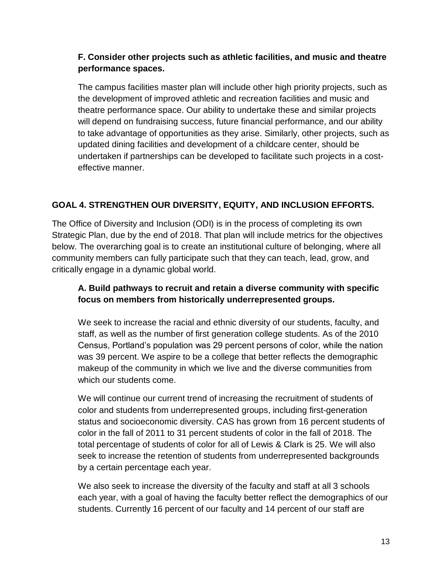### **F. Consider other projects such as athletic facilities, and music and theatre performance spaces.**

The campus facilities master plan will include other high priority projects, such as the development of improved athletic and recreation facilities and music and theatre performance space. Our ability to undertake these and similar projects will depend on fundraising success, future financial performance, and our ability to take advantage of opportunities as they arise. Similarly, other projects, such as updated dining facilities and development of a childcare center, should be undertaken if partnerships can be developed to facilitate such projects in a costeffective manner.

## **GOAL 4. STRENGTHEN OUR DIVERSITY, EQUITY, AND INCLUSION EFFORTS.**

The Office of Diversity and Inclusion (ODI) is in the process of completing its own Strategic Plan, due by the end of 2018. That plan will include metrics for the objectives below. The overarching goal is to create an institutional culture of belonging, where all community members can fully participate such that they can teach, lead, grow, and critically engage in a dynamic global world.

## **A. Build pathways to recruit and retain a diverse community with specific focus on members from historically underrepresented groups.**

We seek to increase the racial and ethnic diversity of our students, faculty, and staff, as well as the number of first generation college students. As of the 2010 Census, Portland's population was 29 percent persons of color, while the nation was 39 percent. We aspire to be a college that better reflects the demographic makeup of the community in which we live and the diverse communities from which our students come.

We will continue our current trend of increasing the recruitment of students of color and students from underrepresented groups, including first-generation status and socioeconomic diversity. CAS has grown from 16 percent students of color in the fall of 2011 to 31 percent students of color in the fall of 2018. The total percentage of students of color for all of Lewis & Clark is 25. We will also seek to increase the retention of students from underrepresented backgrounds by a certain percentage each year.

We also seek to increase the diversity of the faculty and staff at all 3 schools each year, with a goal of having the faculty better reflect the demographics of our students. Currently 16 percent of our faculty and 14 percent of our staff are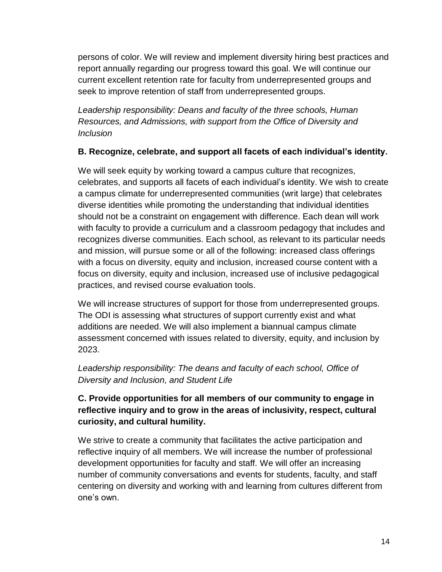persons of color. We will review and implement diversity hiring best practices and report annually regarding our progress toward this goal. We will continue our current excellent retention rate for faculty from underrepresented groups and seek to improve retention of staff from underrepresented groups.

*Leadership responsibility: Deans and faculty of the three schools, Human Resources, and Admissions, with support from the Office of Diversity and Inclusion*

## **B. Recognize, celebrate, and support all facets of each individual's identity.**

We will seek equity by working toward a campus culture that recognizes, celebrates, and supports all facets of each individual's identity. We wish to create a campus climate for underrepresented communities (writ large) that celebrates diverse identities while promoting the understanding that individual identities should not be a constraint on engagement with difference. Each dean will work with faculty to provide a curriculum and a classroom pedagogy that includes and recognizes diverse communities. Each school, as relevant to its particular needs and mission, will pursue some or all of the following: increased class offerings with a focus on diversity, equity and inclusion, increased course content with a focus on diversity, equity and inclusion, increased use of inclusive pedagogical practices, and revised course evaluation tools.

We will increase structures of support for those from underrepresented groups. The ODI is assessing what structures of support currently exist and what additions are needed. We will also implement a biannual campus climate assessment concerned with issues related to diversity, equity, and inclusion by 2023.

*Leadership responsibility: The deans and faculty of each school, Office of Diversity and Inclusion, and Student Life*

## **C. Provide opportunities for all members of our community to engage in reflective inquiry and to grow in the areas of inclusivity, respect, cultural curiosity, and cultural humility.**

We strive to create a community that facilitates the active participation and reflective inquiry of all members. We will increase the number of professional development opportunities for faculty and staff. We will offer an increasing number of community conversations and events for students, faculty, and staff centering on diversity and working with and learning from cultures different from one's own.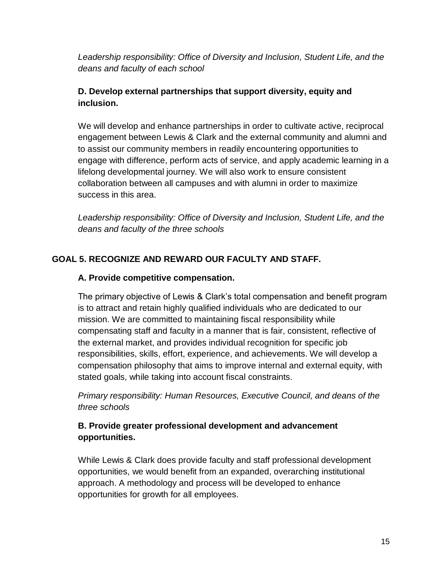*Leadership responsibility: Office of Diversity and Inclusion, Student Life, and the deans and faculty of each school*

# **D. Develop external partnerships that support diversity, equity and inclusion.**

We will develop and enhance partnerships in order to cultivate active, reciprocal engagement between Lewis & Clark and the external community and alumni and to assist our community members in readily encountering opportunities to engage with difference, perform acts of service, and apply academic learning in a lifelong developmental journey. We will also work to ensure consistent collaboration between all campuses and with alumni in order to maximize success in this area.

*Leadership responsibility: Office of Diversity and Inclusion, Student Life, and the deans and faculty of the three schools*

# **GOAL 5. RECOGNIZE AND REWARD OUR FACULTY AND STAFF.**

## **A. Provide competitive compensation.**

The primary objective of Lewis & Clark's total compensation and benefit program is to attract and retain highly qualified individuals who are dedicated to our mission. We are committed to maintaining fiscal responsibility while compensating staff and faculty in a manner that is fair, consistent, reflective of the external market, and provides individual recognition for specific job responsibilities, skills, effort, experience, and achievements. We will develop a compensation philosophy that aims to improve internal and external equity, with stated goals, while taking into account fiscal constraints.

*Primary responsibility: Human Resources, Executive Council, and deans of the three schools*

### **B. Provide greater professional development and advancement opportunities.**

While Lewis & Clark does provide faculty and staff professional development opportunities, we would benefit from an expanded, overarching institutional approach. A methodology and process will be developed to enhance opportunities for growth for all employees.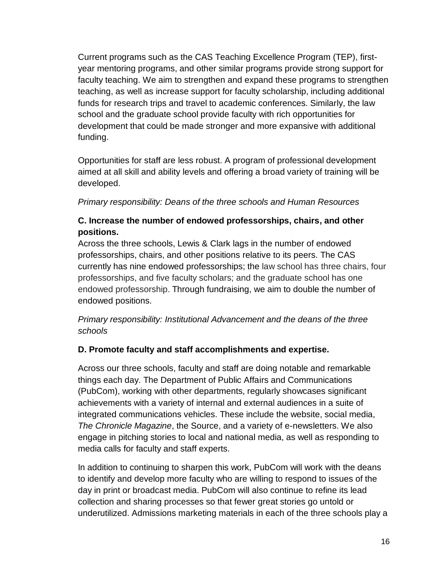Current programs such as the CAS Teaching Excellence Program (TEP), firstyear mentoring programs, and other similar programs provide strong support for faculty teaching. We aim to strengthen and expand these programs to strengthen teaching, as well as increase support for faculty scholarship, including additional funds for research trips and travel to academic conferences. Similarly, the law school and the graduate school provide faculty with rich opportunities for development that could be made stronger and more expansive with additional funding.

Opportunities for staff are less robust. A program of professional development aimed at all skill and ability levels and offering a broad variety of training will be developed.

*Primary responsibility: Deans of the three schools and Human Resources*

## **C. Increase the number of endowed professorships, chairs, and other positions.**

Across the three schools, Lewis & Clark lags in the number of endowed professorships, chairs, and other positions relative to its peers. The CAS currently has nine endowed professorships; the law school has three chairs, four professorships, and five faculty scholars; and the graduate school has one endowed professorship. Through fundraising, we aim to double the number of endowed positions.

## *Primary responsibility: Institutional Advancement and the deans of the three schools*

## **D. Promote faculty and staff accomplishments and expertise.**

Across our three schools, faculty and staff are doing notable and remarkable things each day. The Department of Public Affairs and Communications (PubCom), working with other departments, regularly showcases significant achievements with a variety of internal and external audiences in a suite of integrated communications vehicles. These include the website, social media, *The Chronicle Magazine*, the Source, and a variety of e-newsletters. We also engage in pitching stories to local and national media, as well as responding to media calls for faculty and staff experts.

In addition to continuing to sharpen this work, PubCom will work with the deans to identify and develop more faculty who are willing to respond to issues of the day in print or broadcast media. PubCom will also continue to refine its lead collection and sharing processes so that fewer great stories go untold or underutilized. Admissions marketing materials in each of the three schools play a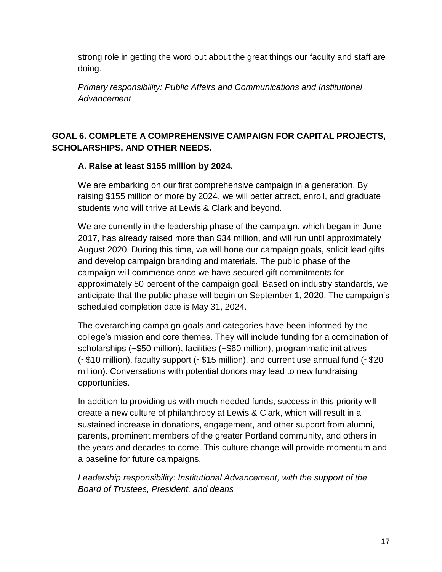strong role in getting the word out about the great things our faculty and staff are doing.

*Primary responsibility: Public Affairs and Communications and Institutional Advancement*

## **GOAL 6. COMPLETE A COMPREHENSIVE CAMPAIGN FOR CAPITAL PROJECTS, SCHOLARSHIPS, AND OTHER NEEDS.**

### **A. Raise at least \$155 million by 2024.**

We are embarking on our first comprehensive campaign in a generation. By raising \$155 million or more by 2024, we will better attract, enroll, and graduate students who will thrive at Lewis & Clark and beyond.

We are currently in the leadership phase of the campaign, which began in June 2017, has already raised more than \$34 million, and will run until approximately August 2020. During this time, we will hone our campaign goals, solicit lead gifts, and develop campaign branding and materials. The public phase of the campaign will commence once we have secured gift commitments for approximately 50 percent of the campaign goal. Based on industry standards, we anticipate that the public phase will begin on September 1, 2020. The campaign's scheduled completion date is May 31, 2024.

The overarching campaign goals and categories have been informed by the college's mission and core themes. They will include funding for a combination of scholarships (~\$50 million), facilities (~\$60 million), programmatic initiatives (~\$10 million), faculty support (~\$15 million), and current use annual fund (~\$20 million). Conversations with potential donors may lead to new fundraising opportunities.

In addition to providing us with much needed funds, success in this priority will create a new culture of philanthropy at Lewis & Clark, which will result in a sustained increase in donations, engagement, and other support from alumni, parents, prominent members of the greater Portland community, and others in the years and decades to come. This culture change will provide momentum and a baseline for future campaigns.

*Leadership responsibility: Institutional Advancement, with the support of the Board of Trustees, President, and deans*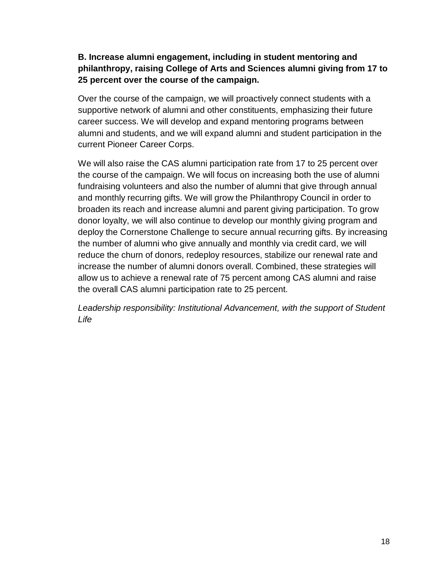### **B. Increase alumni engagement, including in student mentoring and philanthropy, raising College of Arts and Sciences alumni giving from 17 to 25 percent over the course of the campaign.**

Over the course of the campaign, we will proactively connect students with a supportive network of alumni and other constituents, emphasizing their future career success. We will develop and expand mentoring programs between alumni and students, and we will expand alumni and student participation in the current Pioneer Career Corps.

We will also raise the CAS alumni participation rate from 17 to 25 percent over the course of the campaign. We will focus on increasing both the use of alumni fundraising volunteers and also the number of alumni that give through annual and monthly recurring gifts. We will grow the Philanthropy Council in order to broaden its reach and increase alumni and parent giving participation. To grow donor loyalty, we will also continue to develop our monthly giving program and deploy the Cornerstone Challenge to secure annual recurring gifts. By increasing the number of alumni who give annually and monthly via credit card, we will reduce the churn of donors, redeploy resources, stabilize our renewal rate and increase the number of alumni donors overall. Combined, these strategies will allow us to achieve a renewal rate of 75 percent among CAS alumni and raise the overall CAS alumni participation rate to 25 percent.

*Leadership responsibility: Institutional Advancement, with the support of Student Life*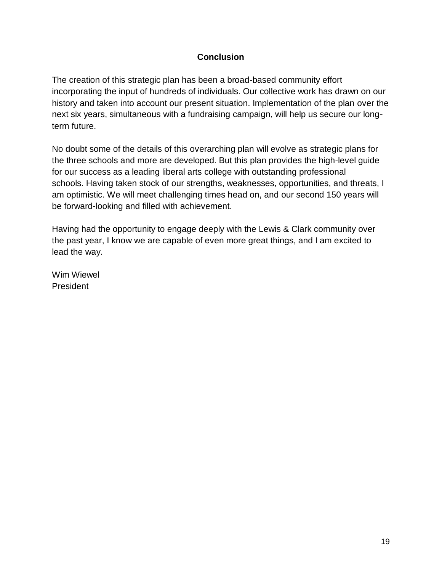### **Conclusion**

The creation of this strategic plan has been a broad-based community effort incorporating the input of hundreds of individuals. Our collective work has drawn on our history and taken into account our present situation. Implementation of the plan over the next six years, simultaneous with a fundraising campaign, will help us secure our longterm future.

No doubt some of the details of this overarching plan will evolve as strategic plans for the three schools and more are developed. But this plan provides the high-level guide for our success as a leading liberal arts college with outstanding professional schools. Having taken stock of our strengths, weaknesses, opportunities, and threats, I am optimistic. We will meet challenging times head on, and our second 150 years will be forward-looking and filled with achievement.

Having had the opportunity to engage deeply with the Lewis & Clark community over the past year, I know we are capable of even more great things, and I am excited to lead the way.

Wim Wiewel President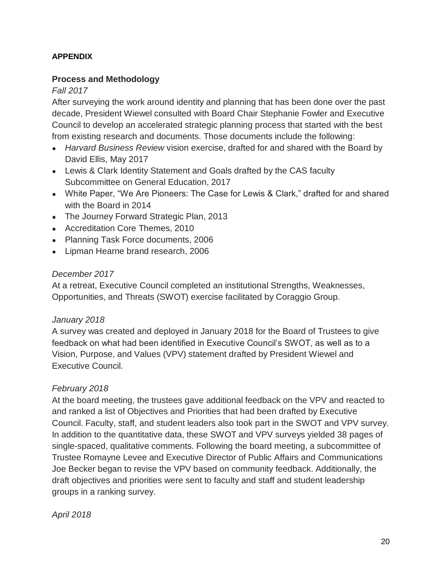### **APPENDIX**

#### **Process and Methodology**

#### *Fall 2017*

After surveying the work around identity and planning that has been done over the past decade, President Wiewel consulted with Board Chair Stephanie Fowler and Executive Council to develop an accelerated strategic planning process that started with the best from existing research and documents. Those documents include the following:

- Harvard Business Review vision exercise, drafted for and shared with the Board by David Ellis, May 2017
- Lewis & Clark Identity Statement and Goals drafted by the CAS faculty Subcommittee on General Education, 2017
- White Paper, "We Are Pioneers: The Case for Lewis & Clark," drafted for and shared with the Board in 2014
- The Journey Forward Strategic Plan, 2013
- Accreditation Core Themes, 2010
- Planning Task Force documents, 2006
- Lipman Hearne brand research, 2006

#### *December 2017*

At a retreat, Executive Council completed an institutional Strengths, Weaknesses, Opportunities, and Threats (SWOT) exercise facilitated by Coraggio Group.

#### *January 2018*

A survey was created and deployed in January 2018 for the Board of Trustees to give feedback on what had been identified in Executive Council's SWOT, as well as to a Vision, Purpose, and Values (VPV) statement drafted by President Wiewel and Executive Council.

#### *February 2018*

At the board meeting, the trustees gave additional feedback on the VPV and reacted to and ranked a list of Objectives and Priorities that had been drafted by Executive Council. Faculty, staff, and student leaders also took part in the SWOT and VPV survey. In addition to the quantitative data, these SWOT and VPV surveys yielded 38 pages of single-spaced, qualitative comments. Following the board meeting, a subcommittee of Trustee Romayne Levee and Executive Director of Public Affairs and Communications Joe Becker began to revise the VPV based on community feedback. Additionally, the draft objectives and priorities were sent to faculty and staff and student leadership groups in a ranking survey.

#### *April 2018*